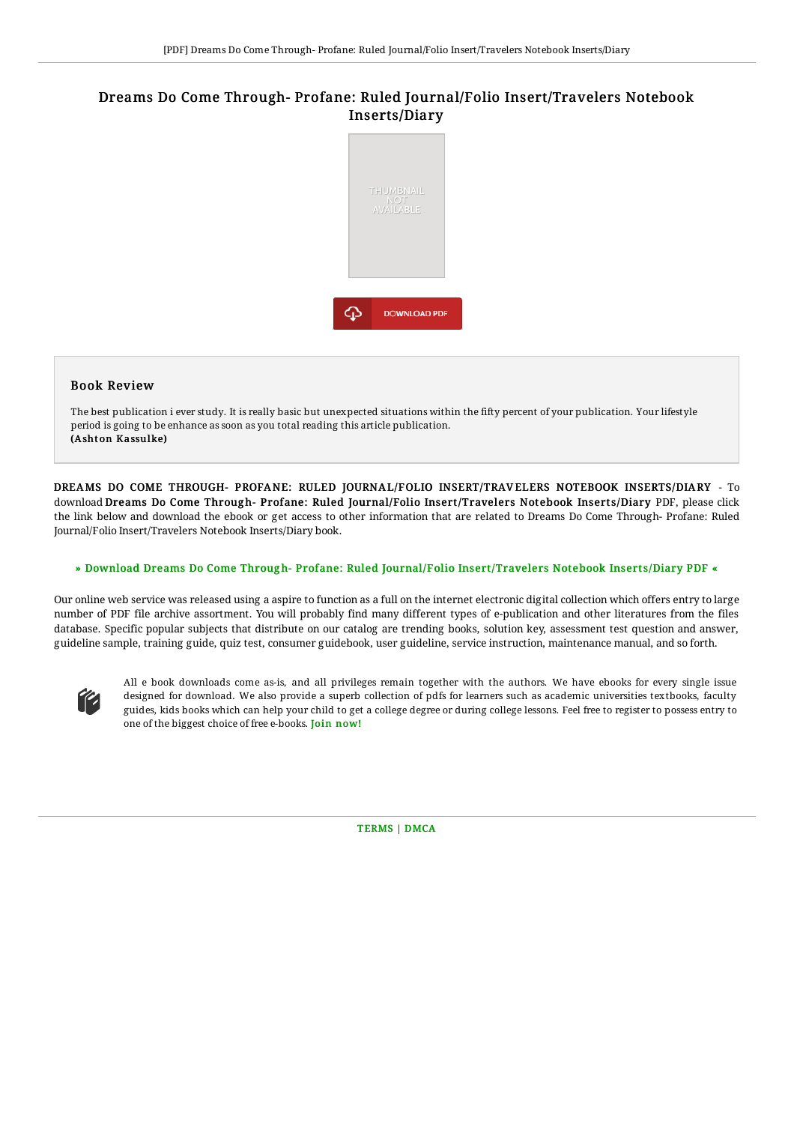# Dreams Do Come Through- Profane: Ruled Journal/Folio Insert/Travelers Notebook Inserts/Diary



### Book Review

The best publication i ever study. It is really basic but unexpected situations within the fifty percent of your publication. Your lifestyle period is going to be enhance as soon as you total reading this article publication. (Ashton Kassulke)

DREAMS DO COME THROUGH- PROFANE: RULED JOURNAL/FOLIO INSERT/TRAV ELERS NOTEBOOK INSERTS/DIARY - To download Dreams Do Come Through-Profane: Ruled Journal/Folio Insert/Travelers Notebook Inserts/Diary PDF, please click the link below and download the ebook or get access to other information that are related to Dreams Do Come Through- Profane: Ruled Journal/Folio Insert/Travelers Notebook Inserts/Diary book.

#### » Download Dreams Do Come Through-Profane: Ruled Journal/Folio [Insert/Travelers](http://techno-pub.tech/dreams-do-come-through-profane-ruled-journal-x2f.html) Notebook Inserts/Diary PDF «

Our online web service was released using a aspire to function as a full on the internet electronic digital collection which offers entry to large number of PDF file archive assortment. You will probably find many different types of e-publication and other literatures from the files database. Specific popular subjects that distribute on our catalog are trending books, solution key, assessment test question and answer, guideline sample, training guide, quiz test, consumer guidebook, user guideline, service instruction, maintenance manual, and so forth.



All e book downloads come as-is, and all privileges remain together with the authors. We have ebooks for every single issue designed for download. We also provide a superb collection of pdfs for learners such as academic universities textbooks, faculty guides, kids books which can help your child to get a college degree or during college lessons. Feel free to register to possess entry to one of the biggest choice of free e-books. Join [now!](http://techno-pub.tech/dreams-do-come-through-profane-ruled-journal-x2f.html)